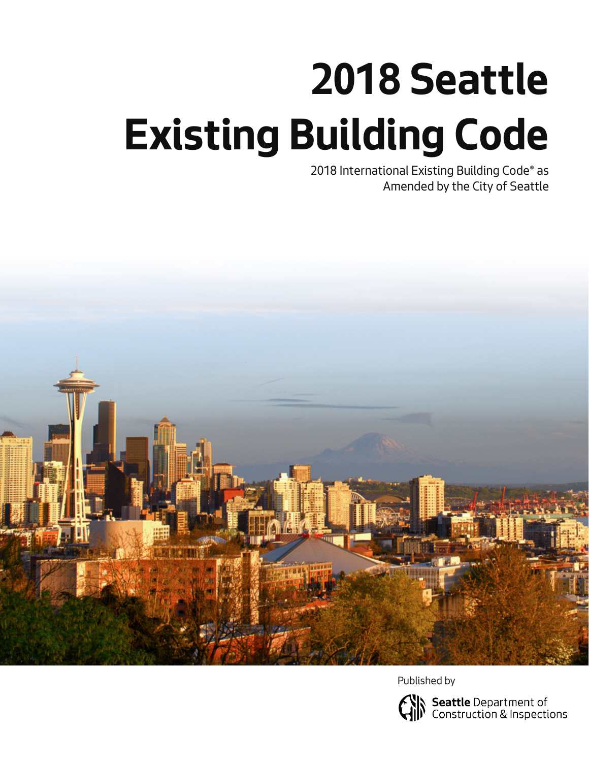# 2018 Seattle **2018 Seattle** Existing Building Code **Existing Building Code**

2018 International Existing Building Code® as 2018 International Existing Building Code® as Amended by the City of Seattle Amended by the City of Seattle



Published by Published by



Seattle Department of<br> **Construction & Inspection**  $\mathbf{F}$  Construction & Inspections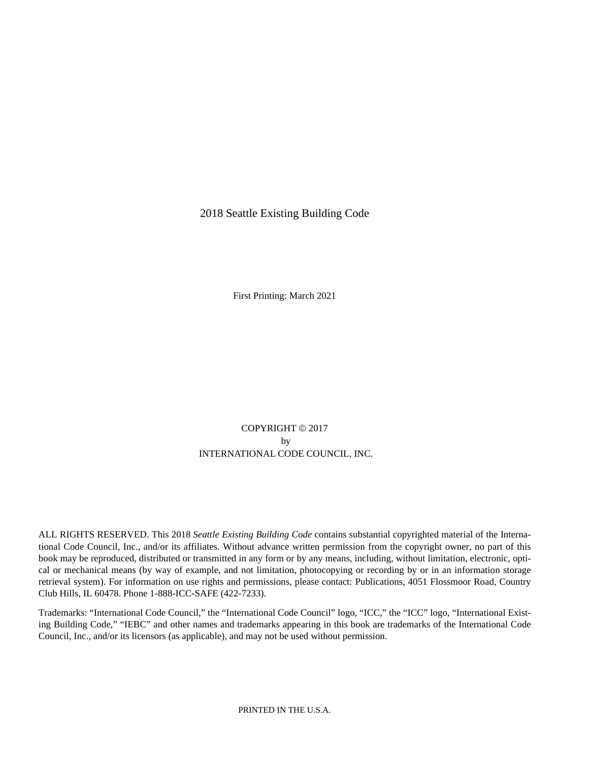2018 Seattle Existing Building Code 2018 Seattle Existing Building Code

First Printing: March 2021 First Printing: March 2021

COPYRIGHT © 2017 COPYRIGHT 2017 by by INTERNATIONAL CODE COUNCIL, INC. INTERNATIONAL CODE COUNCIL, INC.

ALL RIGHTS RESERVED. This 2018 Seattle Existing Building Code contains substantial copyrighted material of the International Code Council, Inc., and/or its affiliates. Without advance written permission from the copyright owner, no part of this book may be reproduced, distributed or transmitted in any form or by any means, including, without limitation, electronic, optical or mechanical means (by way of example, and not limitation, photocopying or recording by or in an information storage retrieval system). For information on use rights and permissions, please contact: Publications, 4051 Flossmoor Road, Country Club Hills, IL 60478. Phone 1-888-ICC-SAFE (422-7233). Club Hills, IL 60478. Phone 1-888-ICC-SAFE (422-7233).

Trademarks: "International Code Council," the "International Code Council" logo, "ICC," the "ICC" logo, "International Existing Building Code," "IEBC" and other names and trademarks appearing in this book are trademarks of the International Code Council, Inc., and/or its licensors (as applicable), and may not be used without permission. Council, Inc., and/or its licensors (as applicable), and may not be used without permission.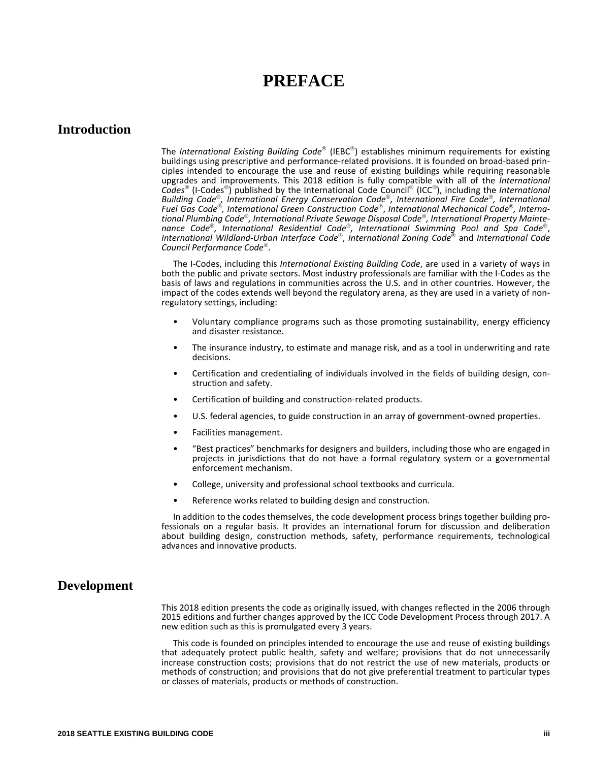## PREFACE **PREFACE**

## Introduction **Introduction**

The International Existing Building Code® (IEBC®) establishes minimum requirements for existing The *International Existing Building Code* (IEBC ) establishes minimum requirements for existing buildings using prescriptive and performance-related provisions. It is founded on broad-based prin-buildings using prescriptive and performance-related provisions. It is founded on broad-based principles intended to encourage the use and reuse of existing buildings while requiring reasonable ciples intended to encourage the use and reuse of existing buildings while requiring reasonable upgrades and improvements. This 2018 edition is fully compatible with all of the International upgrades and improvements. This 2018 edition is fully compatible with all of the *International* Codes® (I-Codes®) published by the International Code Council® (ICC®), including the International *Codes* (I-Codes ) published by the International Code Council (ICC ), including the *International* Building Code®, International Energy Conservation Code®, International Fire Code®, International Fuel Gas Code®, International Green Construction Code®, International Mechanical Code®, International Plumbing Code®, International Private Sewage Disposal Code®, International Property Maintenance Code<sup>®</sup>, International Residential Code<sup>®</sup>, International Swimming Pool and Spa Code<sup>®</sup>, International Wildland-Urban Interface Code®, International Zoning Code<sup>®</sup> and International Code Council Performance Code®. *Council Performance Code* . *Building Code , International Energy Conservation Code , International Fire Code , International Fuel Gas Code , International Green Construction Code* , *International Mechanical Code , International Plumbing Code , International Private Sewage Disposal Code , International Property Mainte*nance Code®, International Residential Code®, International Swimming Pool and Spa Code®, *International Wildland-Urban Interface Code* , *International Zoning Code* and *International Code*

The I-Codes, including this International Existing Building Code, are used in a variety of ways in The I-Codes, including this *International Existing Building Code*, are used in a variety of ways in both the public and private sectors. Most industry professionals are familiar with the I-Codes as the both the public and private sectors. Most industry professionals are familiar with the I-Codes as the basis of laws and regulations in communities across the U.S. and in other countries. However, the basis of laws and regulations in communities across the U.S. and in other countries. However, the impact of the codes extends well beyond the regulatory arena, as they are used in a variety of non-impact of the codes extends well beyond the regulatory arena, as they are used in a variety of nonregulatory settings, including: regulatory settings, including:

- Voluntary compliance programs such as those promoting sustainability, energy efficiency Voluntary compliance programs such as those promoting sustainability, energy efficiency and disaster resistance. and disaster resistance.
- The insurance industry, to estimate and manage risk, and as a tool in underwriting and rate The insurance industry, to estimate and manage risk, and as a tool in underwriting and rate decisions. decisions.
- Certification and credentialing of individuals involved in the fields of building design, con-• Certification and credentialing of individuals involved in the fields of building design, construction and safety. struction and safety.
- Certification of building and construction-related products. Certification of building and construction-related products.
- U.S. federal agencies, to guide construction in an array of government-owned properties. U.S. federal agencies, to guide construction in an array of government-owned properties.
- Facilities management. Facilities management.
- "Best practices" benchmarks for designers and builders, including those who are engaged in "Best practices" benchmarks for designers and builders, including those who are engaged in projects in jurisdictions that do not have a formal regulatory system or a governmental projects in jurisdictions that do not have a formal regulatory system or a governmental enforcement mechanism. enforcement mechanism.
- College, university and professional school textbooks and curricula. College, university and professional school textbooks and curricula.
- Reference works related to building design and construction. Reference works related to building design and construction.

In addition to the codes themselves, the code development process brings together building pro-In addition to the codes themselves, the code development process brings together building professionals on a regular basis. It provides an international forum for discussion and deliberation fessionals on a regular basis. It provides an international forum for discussion and deliberation about building design, construction methods, safety, performance requirements, technological about building design, construction methods, safety, performance requirements, technological advances and innovative products. advances and innovative products.

### Development **Development**

This 2018 edition presents the code as originally issued, with changes reflected in the 2006 through This 2018 edition presents the code as originally issued, with changes reflected in the 2006 through 2015 editions and further changes approved by the ICC Code Development Process through 2017. A 2015 editions and further changes approved by the ICC Code Development Process through 2017. A new edition such as this is promulgated every 3 years. new edition such as this is promulgated every 3 years.

This code is founded on principles intended to encourage the use and reuse of existing buildings This code is founded on principles intended to encourage the use and reuse of existing buildings that adequately protect public health, safety and welfare; provisions that do not unnecessarily that adequately protect public health, safety and welfare; provisions that do not unnecessarily increase construction costs; provisions that do not restrict the use of new materials, products or increase construction costs; provisions that do not restrict the use of new materials, products or methods of construction; and provisions that do not give preferential treatment to particular types methods of construction; and provisions that do not give preferential treatment to particular types or classes of materials, products or methods of construction. or classes of materials, products or methods of construction.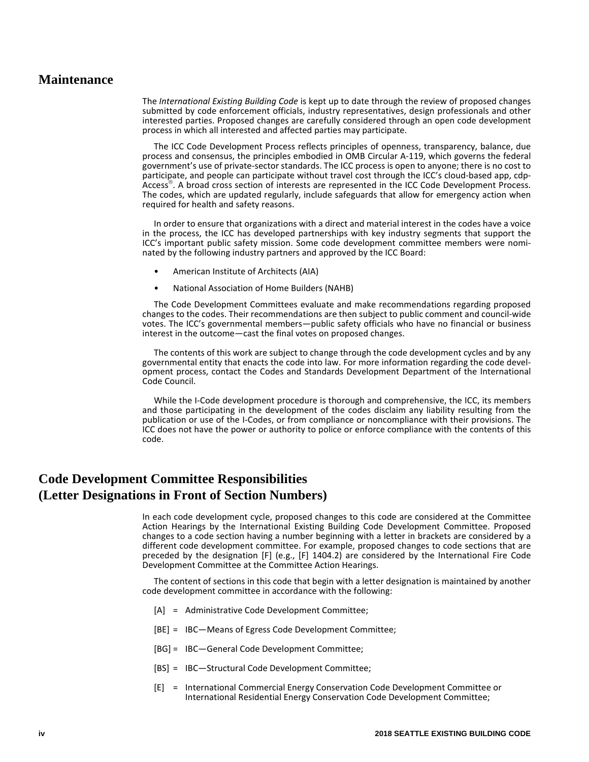## Maintenance **Maintenance**

The International Existing Building Code is kept up to date through the review of proposed changes The *International Existing Building Code* is kept up to date through the review of proposed changes submitted by code enforcement officials, industry representatives, design professionals and other submitted by code enforcement officials, industry representatives, design professionals and other interested parties. Proposed changes are carefully considered through an open code development interested parties. Proposed changes are carefully considered through an open code development process in which all interested and affected parties may participate. process in which all interested and affected parties may participate.

The ICC Code Development Process reflects principles of openness, transparency, balance, due The ICC Code Development Process reflects principles of openness, transparency, balance, due process and consensus, the principles embodied in OMB Circular A-119, which governs the federal process and consensus, the principles embodied in OMB Circular A-119, which governs the federal government's use of private-sector standards. The ICC process is open to anyone; there is no cost to government's use of private-sector standards. The ICC process is open to anyone; there is no cost to participate, and people can participate without travel cost through the ICC's cloud-based app, cdp-participate, and people can participate without travel cost through the ICC's cloud-based app, cdp-Access®. A broad cross section of interests are represented in the ICC Code Development Process. Access . A broad cross section of interests are represented in the ICC Code Development Process. The codes, which are updated regularly, include safeguards that allow for emergency action when The codes, which are updated regularly, include safeguards that allow for emergency action when required for health and safety reasons. required for health and safety reasons.

In order to ensure that organizations with a direct and material interest in the codes have a voice In order to ensure that organizations with a direct and material interest in the codes have a voice in the process, the ICC has developed partnerships with key industry segments that support the in the process, the ICC has developed partnerships with key industry segments that support the ICC's important public safety mission. Some code development committee members were nomi-ICC's important public safety mission. Some code development committee members were nominated by the following industry partners and approved by the ICC Board: nated by the following industry partners and approved by the ICC Board:

- American Institute of Architects (AIA) American Institute of Architects (AIA)
- National Association of Home Builders (NAHB) National Association of Home Builders (NAHB)

The Code Development Committees evaluate and make recommendations regarding proposed The Code Development Committees evaluate and make recommendations regarding proposed changes to the codes. Their recommendations are then subject to public comment and council-wide changes to the codes. Their recommendations are then subject to public comment and council-wide votes. The ICC's governmental members—public safety officials who have no financial or business votes. The ICC's governmental members—public safety officials who have no financial or business interest in the outcome—cast the final votes on proposed changes. interest in the outcome—cast the final votes on proposed changes.

The contents of this work are subject to change through the code development cycles and by any The contents of this work are subject to change through the code development cycles and by any governmental entity that enacts the code into law. For more information regarding the code devel-governmental entity that enacts the code into law. For more information regarding the code development process, contact the Codes and Standards Development Department of the International opment process, contact the Codes and Standards Development Department of the International Code Council. Code Council.

While the I-Code development procedure is thorough and comprehensive, the ICC, its members and those participating in the development of the codes disclaim any liability resulting from the and those participating in the development of the codes disclaim any liability resulting from the publication or use of the I-Codes, or from compliance or noncompliance with their provisions. The publication or use of the I-Codes, or from compliance or noncompliance with their provisions. The ICC does not have the power or authority to police or enforce compliance with the contents of this ICC does not have the power or authority to police or enforce compliance with the contents of this code. code.

## Code Development Committee Responsibilities **Code Development Committee Responsibilities** (Letter Designations in Front of Section Numbers) **(Letter Designations in Front of Section Numbers)**

In each code development cycle, proposed changes to this code are considered at the Committee In each code development cycle, proposed changes to this code are considered at the Committee Action Hearings by the International Existing Building Code Development Committee. Proposed Action Hearings by the International Existing Building Code Development Committee. Proposed changes to a code section having a number beginning with a letter in brackets are considered by a changes to a code section having a number beginning with a letter in brackets are considered by a different code development committee. For example, proposed changes to code sections that are different code development committee. For example, proposed changes to code sections that are preceded by the designation [F] (e.g., [F] 1404.2) are considered by the International Fire Code preceded by the designation [F] (e.g., [F] 1404.2) are considered by the International Fire Code Development Committee at the Committee Action Hearings. Development Committee at the Committee Action Hearings.

The content of sections in this code that begin with a letter designation is maintained by another The content of sections in this code that begin with a letter designation is maintained by another code development committee in accordance with the following: code development committee in accordance with the following:

- [A] = Administrative Code Development Committee; [A] = Administrative Code Development Committee;
- [BE] = IBC—Means of Egress Code Development Committee; [BE] = IBC—Means of Egress Code Development Committee;
- [BG] = IBC—General Code Development Committee; [BG] = IBC—General Code Development Committee;
- [BS] = IBC—Structural Code Development Committee; [BS] = IBC—Structural Code Development Committee;
- [E] = International Commercial Energy Conservation Code Development Committee or<br>International Residential Energy Conservation Code Development Committee; International Residential Energy Conservation Code Development Committee;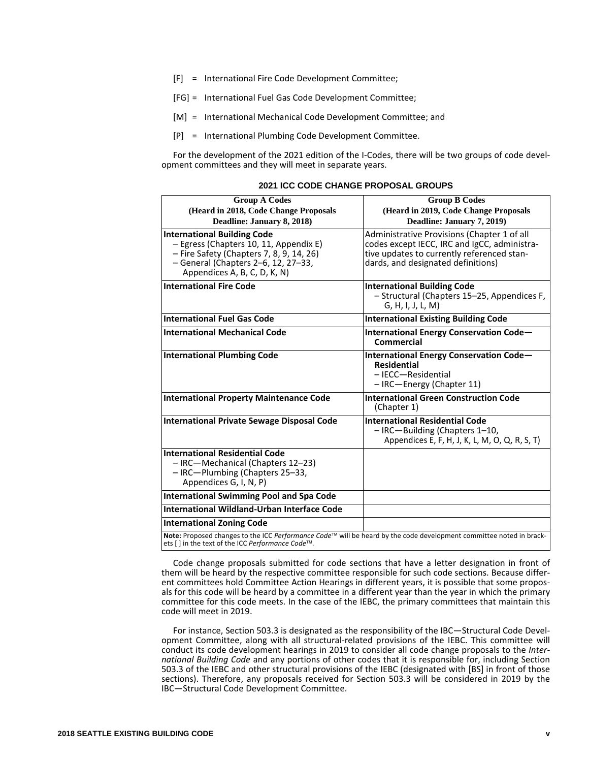- [F] = International Fire Code Development Committee; [F] = International Fire Code Development Committee;
- [FG] = International Fuel Gas Code Development Committee; [FG] = International Fuel Gas Code Development Committee;
- [M] = International Mechanical Code Development Committee; and [M] = International Mechanical Code Development Committee; and
- [P] = International Plumbing Code Development Committee. [P] = International Plumbing Code Development Committee.

For the development of the 2021 edition of the I-Codes, there will be two groups of code development committees and they will meet in separate years. opment committees and they will meet in separate years.

| <b>Group A Codes</b><br>(Heard in 2018, Code Change Proposals                                                                                                                                   | <b>Group B Codes</b><br>(Heard in 2019, Code Change Proposals                                                                                                                   |
|-------------------------------------------------------------------------------------------------------------------------------------------------------------------------------------------------|---------------------------------------------------------------------------------------------------------------------------------------------------------------------------------|
| Deadline: January 8, 2018)                                                                                                                                                                      | Deadline: January 7, 2019)                                                                                                                                                      |
| <b>International Building Code</b><br>- Egress (Chapters 10, 11, Appendix E)<br>- Fire Safety (Chapters 7, 8, 9, 14, 26)<br>- General (Chapters 2–6, 12, 27–33,<br>Appendices A, B, C, D, K, N) | Administrative Provisions (Chapter 1 of all<br>codes except IECC, IRC and IgCC, administra-<br>tive updates to currently referenced stan-<br>dards, and designated definitions) |
| <b>International Fire Code</b>                                                                                                                                                                  | <b>International Building Code</b><br>- Structural (Chapters 15-25, Appendices F,<br>G, H, I, J, L, M                                                                           |
| <b>International Fuel Gas Code</b>                                                                                                                                                              | <b>International Existing Building Code</b>                                                                                                                                     |
| <b>International Mechanical Code</b>                                                                                                                                                            | <b>International Energy Conservation Code-</b><br>Commercial                                                                                                                    |
| <b>International Plumbing Code</b>                                                                                                                                                              | <b>International Energy Conservation Code-</b><br><b>Residential</b><br>- IECC-Residential<br>- IRC-Energy (Chapter 11)                                                         |
| <b>International Property Maintenance Code</b>                                                                                                                                                  | <b>International Green Construction Code</b><br>(Chapter 1)                                                                                                                     |
| <b>International Private Sewage Disposal Code</b>                                                                                                                                               | <b>International Residential Code</b><br>- IRC-Building (Chapters 1-10,<br>Appendices E, F, H, J, K, L, M, O, Q, R, S, T)                                                       |
| <b>International Residential Code</b><br>- IRC-Mechanical (Chapters 12-23)<br>- IRC-Plumbing (Chapters 25-33,<br>Appendices G, I, N, P)                                                         |                                                                                                                                                                                 |
| <b>International Swimming Pool and Spa Code</b>                                                                                                                                                 |                                                                                                                                                                                 |
| International Wildland-Urban Interface Code                                                                                                                                                     |                                                                                                                                                                                 |
| <b>International Zoning Code</b>                                                                                                                                                                |                                                                                                                                                                                 |
| Note: Proposed changes to the ICC Performance Code™ will be heard by the code development committee noted in brack-<br>ets [] in the text of the ICC Performance Code™.                         |                                                                                                                                                                                 |

Code change proposals submitted for code sections that have a letter designation in front of Code change proposals submitted for code sections that have a letter designation in front of them will be heard by the respective committee responsible for such code sections. Because differ-them will be heard by the respective committee responsible for such code sections. Because different committees hold Committee Action Hearings in different years, it is possible that some propos-ent committees hold Committee Action Hearings in different years, it is possible that some proposals for this code will be heard by a committee in a different year than the year in which the primary als for this code will be heard by a committee in a different year than the year in which the primary committee for this code meets. In the case of the IEBC, the primary committees that maintain this committee for this code meets. In the case of the IEBC, the primary committees that maintain this code will meet in 2019. code will meet in 2019.

For instance, Section 503.3 is designated as the responsibility of the IBC—Structural Code Devel-For instance, Section 503.3 is designated as the responsibility of the IBC—Structural Code Development Committee, along with all structural-related provisions of the IEBC. This committee will opment Committee, along with all structural-related provisions of the IEBC. This committee will conduct its code development hearings in 2019 to consider all code change proposals to the Inter-conduct its code development hearings in 2019 to consider all code change proposals to the *Inter*national Building Code and any portions of other codes that it is responsible for, including Section *national Building Code* and any portions of other codes that it is responsible for, including Section 503.3 of the IEBC and other structural provisions of the IEBC (designated with [BS] in front of those 503.3 of the IEBC and other structural provisions of the IEBC (designated with [BS] in front of those sections). Therefore, any proposals received for Section 503.3 will be considered in 2019 by the sections). Therefore, any proposals received for Section 503.3 will be considered in 2019 by the IBC—Structural Code Development Committee. IBC—Structural Code Development Committee.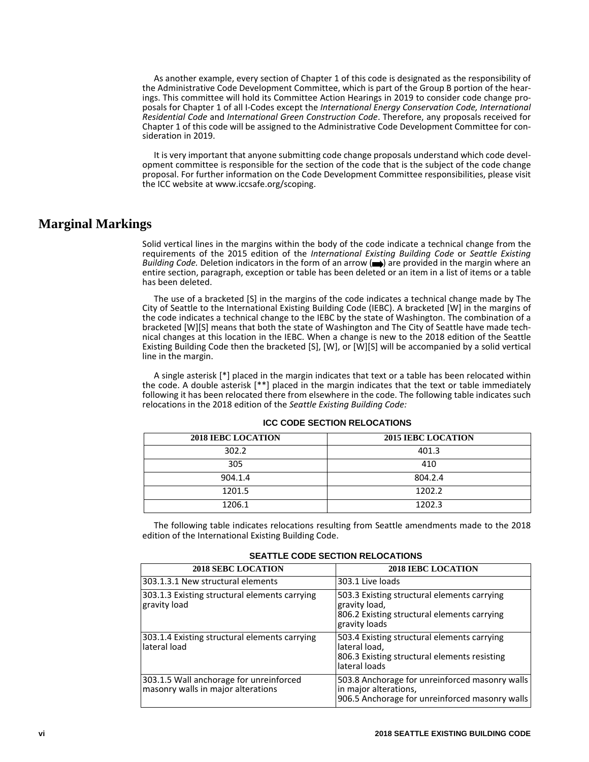As another example, every section of Chapter 1 of this code is designated as the responsibility of As another example, every section of Chapter 1 of this code is designated as the responsibility of the Administrative Code Development Committee, which is part of the Group B portion of the hear-the Administrative Code Development Committee, which is part of the Group B portion of the hearings. This committee will hold its Committee Action Hearings in 2019 to consider code change pro-ings. This committee will hold its Committee Action Hearings in 2019 to consider code change proposals for Chapter 1 of all I-Codes except the International Energy Conservation Code, International posals for Chapter 1 of all I-Codes except the *International Energy Conservation Code, International* Residential Code and International Green Construction Code. Therefore, any proposals received for *Residential Code* and *International Green Construction Code*. Therefore, any proposals received for Chapter 1 of this code will be assigned to the Administrative Code Development Committee for con-Chapter 1 of this code will be assigned to the Administrative Code Development Committee for consideration in 2019. sideration in 2019.

It is very important that anyone submitting code change proposals understand which code devel-It is very important that anyone submitting code change proposals understand which code development committee is responsible for the section of the code that is the subject of the code change opment committee is responsible for the section of the code that is the subject of the code change proposal. For further information on the Code Development Committee responsibilities, please visit proposal. For further information on the Code Development Committee responsibilities, please visit the ICC website at www.iccsafe.org/scoping. the ICC website at www.iccsafe.org/scoping.

## Marginal Markings **Marginal Markings**

Solid vertical lines in the margins within the body of the code indicate a technical change from the Solid vertical lines in the margins within the body of the code indicate a technical change from the requirements of the 2015 edition of the International Existing Building Code or Seattle Existing requirements of the 2015 edition of the *International Existing Building Code* or *Seattle Existing* Building Code. Deletion indicators in the form of an arrow () are provided in the margin where an entire section, paragraph, exception or table has been deleted or an item in a list of items or a table entire section, paragraph, exception or table has been deleted or an item in a list of items or a table has been deleted. has been deleted.

The use of a bracketed [S] in the margins of the code indicates a technical change made by The The use of a bracketed [S] in the margins of the code indicates a technical change made by The City of Seattle to the International Existing Building Code (IEBC). A bracketed [W] in the margins of City of Seattle to the International Existing Building Code (IEBC). A bracketed [W] in the margins of the code indicates a technical change to the IEBC by the state of Washington. The combination of a the code indicates a technical change to the IEBC by the state of Washington. The combination of a bracketed [W][S] means that both the state of Washington and The City of Seattle have made tech-bracketed [W][S] means that both the state of Washington and The City of Seattle have made technical changes at this location in the IEBC. When a change is new to the 2018 edition of the Seattle nical changes at this location in the IEBC. When a change is new to the 2018 edition of the Seattle Existing Building Code then the bracketed [S], [W], or [W][S] will be accompanied by a solid vertical Existing Building Code then the bracketed [S], [W], or [W][S] will be accompanied by a solid vertical line in the margin. line in the margin.

A single asterisk [\*] placed in the margin indicates that text or a table has been relocated within A single asterisk [\*] placed in the margin indicates that text or a table has been relocated within the code. A double asterisk [\*\*] placed in the margin indicates that the text or table immediately following it has been relocated there from elsewhere in the code. The following table indicates such relocations in the 2018 edition of the Seattle Existing Building Code: relocations in the 2018 edition of the *Seattle Existing Building Code:* the code. A double asterisk [\*\*] placed in the margin indicates that the text or table immediately following it has been relocated there from elsewhere in the code. The following table indicates such

| <b>2018 IEBC LOCATION</b> | <b>2015 IEBC LOCATION</b> |
|---------------------------|---------------------------|
| 302.2                     | 401.3                     |
| 305                       | 410                       |
| 904.1.4                   | 804.2.4                   |
| 1201.5                    | 1202.2                    |
| 1206.1                    | 1202.3                    |

#### ICC CODE SECTION RELOCATIONS **ICC CODE SECTION RELOCATIONS**

The following table indicates relocations resulting from Seattle amendments made to the 2018 The following table indicates relocations resulting from Seattle amendments made to the 2018 edition of the International Existing Building Code. edition of the International Existing Building Code.

| <b>2018 SEBC LOCATION</b>                                                     | <b>2018 IEBC LOCATION</b>                                                                                                     |
|-------------------------------------------------------------------------------|-------------------------------------------------------------------------------------------------------------------------------|
| 303.1.3.1 New structural elements                                             | 303.1 Live loads                                                                                                              |
| 303.1.3 Existing structural elements carrying<br>gravity load                 | 503.3 Existing structural elements carrying<br>gravity load,<br>806.2 Existing structural elements carrying<br>gravity loads  |
| 303.1.4 Existing structural elements carrying<br>lateral load                 | 503.4 Existing structural elements carrying<br>lateral load,<br>806.3 Existing structural elements resisting<br>lateral loads |
| 303.1.5 Wall anchorage for unreinforced<br>masonry walls in major alterations | 503.8 Anchorage for unreinforced masonry walls<br>in major alterations,<br>906.5 Anchorage for unreinforced masonry walls     |

#### SEATTLE CODE SECTION RELOCATIONS **SEATTLE CODE SECTION RELOCATIONS**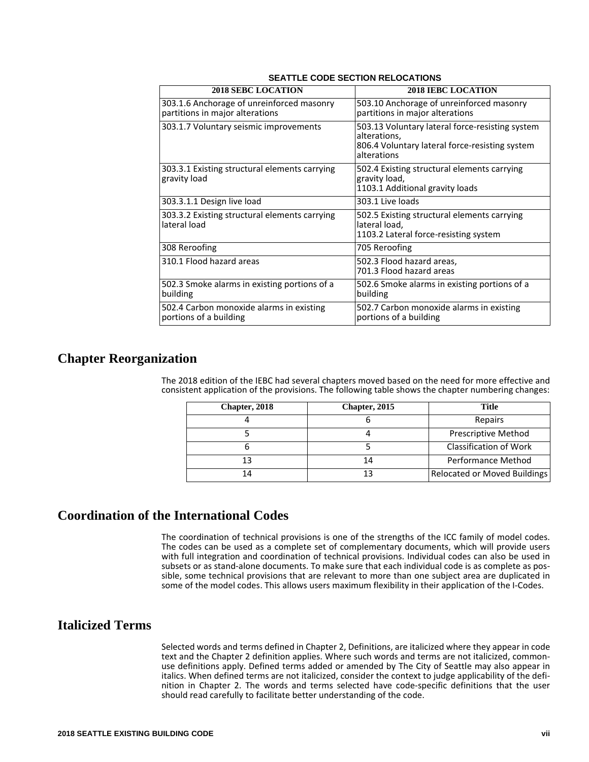| <b>2018 SEBC LOCATION</b>                                                    | <b>2018 JEBC LOCATION</b>                                                                                                        |
|------------------------------------------------------------------------------|----------------------------------------------------------------------------------------------------------------------------------|
| 303.1.6 Anchorage of unreinforced masonry<br>partitions in major alterations | 503.10 Anchorage of unreinforced masonry<br>partitions in major alterations                                                      |
| 303.1.7 Voluntary seismic improvements                                       | 503.13 Voluntary lateral force-resisting system<br>alterations.<br>806.4 Voluntary lateral force-resisting system<br>alterations |
| 303.3.1 Existing structural elements carrying<br>gravity load                | 502.4 Existing structural elements carrying<br>gravity load,<br>1103.1 Additional gravity loads                                  |
| 303.3.1.1 Design live load                                                   | 303.1 Live loads                                                                                                                 |
| 303.3.2 Existing structural elements carrying<br>lateral load                | 502.5 Existing structural elements carrying<br>lateral load,<br>1103.2 Lateral force-resisting system                            |
| 308 Reroofing                                                                | 705 Reroofing                                                                                                                    |
| 310.1 Flood hazard areas                                                     | 502.3 Flood hazard areas,<br>701.3 Flood hazard areas                                                                            |
| 502.3 Smoke alarms in existing portions of a<br>building                     | 502.6 Smoke alarms in existing portions of a<br>building                                                                         |
| 502.4 Carbon monoxide alarms in existing<br>portions of a building           | 502.7 Carbon monoxide alarms in existing<br>portions of a building                                                               |

#### SEATTLE CODE SECTION RELOCATIONS **SEATTLE CODE SECTION RELOCATIONS**

## Chapter Reorganization **Chapter Reorganization**

The 2018 edition of the IEBC had several chapters moved based on the need for more effective and The 2018 edition of the IEBC had several chapters moved based on the need for more effective and consistent application of the provisions. The following table shows the chapter numbering changes: consistent application of the provisions. The following table shows the chapter numbering changes:

| Chapter, 2018 | Chapter, 2015 | <b>Title</b>                  |
|---------------|---------------|-------------------------------|
|               |               | Repairs                       |
|               |               | <b>Prescriptive Method</b>    |
|               |               | <b>Classification of Work</b> |
| 13            |               | Performance Method            |
| 14            |               | Relocated or Moved Buildings  |

## Coordination of the International Codes **Coordination of the International Codes**

The coordination of technical provisions is one of the strengths of the ICC family of model codes. The coordination of technical provisions is one of the strengths of the ICC family of model codes. The codes can be used as a complete set of complementary documents, which will provide users The codes can be used as a complete set of complementary documents, which will provide users with full integration and coordination of technical provisions. Individual codes can also be used in with full integration and coordination of technical provisions. Individual codes can also be used in subsets or as stand-alone documents. To make sure that each individual code is as complete as pos-subsets or as stand-alone documents. To make sure that each individual code is as complete as possible, some technical provisions that are relevant to more than one subject area are duplicated in sible, some technical provisions that are relevant to more than one subject area are duplicated in some of the model codes. This allows users maximum flexibility in their application of the I-Codes. some of the model codes. This allows users maximum flexibility in their application of the I-Codes.

## Italicized Terms **Italicized Terms**

Selected words and terms defined in Chapter 2, Definitions, are italicized where they appear in code Selected words and terms defined in Chapter 2, Definitions, are italicized where they appear in code text and the Chapter 2 definition applies. Where such words and terms are not italicized, common-text and the Chapter 2 definition applies. Where such words and terms are not italicized, commonuse definitions apply. Defined terms added or amended by The City of Seattle may also appear in use definitions apply. Defined terms added or amended by The City of Seattle may also appear in italics. When defined terms are not italicized, consider the context to judge applicability of the defi-italics. When defined terms are not italicized, consider the context to judge applicability of the definition in Chapter 2. The words and terms selected have code-specific definitions that the user nition in Chapter 2. The words and terms selected have code-specific definitions that the user should read carefully to facilitate better understanding of the code. should read carefully to facilitate better understanding of the code.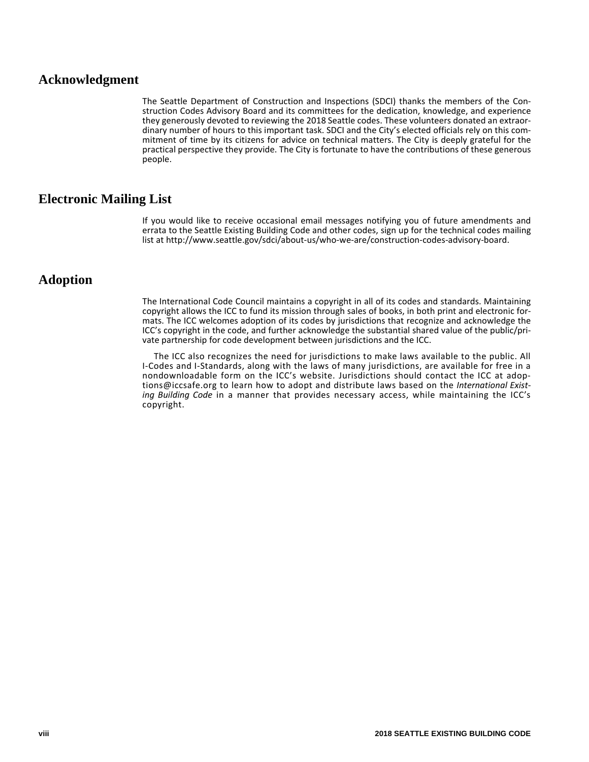## Acknowledgment **Acknowledgment**

The Seattle Department of Construction and Inspections (SDCI) thanks the members of the Con-The Seattle Department of Construction and Inspections (SDCI) thanks the members of the Construction Codes Advisory Board and its committees for the dedication, knowledge, and experience struction Codes Advisory Board and its committees for the dedication, knowledge, and experience they generously devoted to reviewing the 2018 Seattle codes. These volunteers donated an extraor-they generously devoted to reviewing the 2018 Seattle codes. These volunteers donated an extraordinary number of hours to this important task. SDCI and the City's elected officials rely on this com-dinary number of hours to this important task. SDCI and the City's elected officials rely on this commitment of time by its citizens for advice on technical matters. The City is deeply grateful for the mitment of time by its citizens for advice on technical matters. The City is deeply grateful for the practical perspective they provide. The City is fortunate to have the contributions of these generous practical perspective they provide. The City is fortunate to have the contributions of these generous people. people.

## Electronic Mailing List **Electronic Mailing List**

If you would like to receive occasional email messages notifying you of future amendments and If you would like to receive occasional email messages notifying you of future amendments and errata to the Seattle Existing Building Code and other codes, sign up for the technical codes mailing errata to the Seattle Existing Building Code and other codes, sign up for the technical codes mailing list at http://www.seattle.gov/sdci/about-us/who-we-are/construction-codes-advisory-board. list at http://www.seattle.gov/sdci/about-us/who-we-are/construction-codes-advisory-board.

## Adoption **Adoption**

The International Code Council maintains a copyright in all of its codes and standards. Maintaining The International Code Council maintains a copyright in all of its codes and standards. Maintaining copyright allows the ICC to fund its mission through sales of books, in both print and electronic for-copyright allows the ICC to fund its mission through sales of books, in both print and electronic formats. The ICC welcomes adoption of its codes by jurisdictions that recognize and acknowledge the mats. The ICC welcomes adoption of its codes by jurisdictions that recognize and acknowledge the ICC's copyright in the code, and further acknowledge the substantial shared value of the public/pri-ICC's copyright in the code, and further acknowledge the substantial shared value of the public/private partnership for code development between jurisdictions and the ICC. vate partnership for code development between jurisdictions and the ICC.

The ICC also recognizes the need for jurisdictions to make laws available to the public. All The ICC also recognizes the need for jurisdictions to make laws available to the public. All I-Codes and I-Standards, along with the laws of many jurisdictions, are available for free in a I-Codes and I-Standards, along with the laws of many jurisdictions, are available for free in a nondownloadable form on the ICC's website. Jurisdictions should contact the ICC at adop-nondownloadable form on the ICC's website. Jurisdictions should contact the ICC at adoptions@iccsafe.org to learn how to adopt and distribute laws based on the International Exist-tions@iccsafe.org to learn how to adopt and distribute laws based on the *International Exist*ing Building Code in a manner that provides necessary access, while maintaining the ICC's *ing Building Code* in a manner that provides necessary access, while maintaining the ICC's copyright. copyright.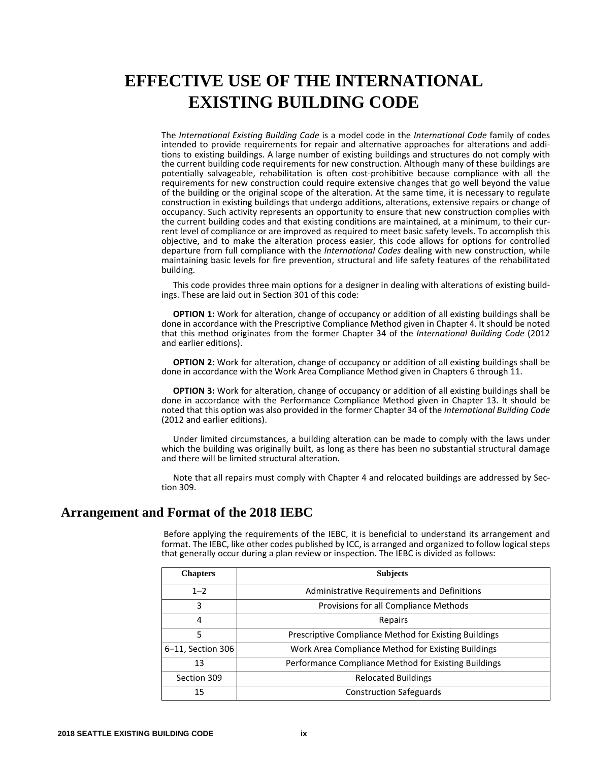# EFFECTIVE USE OF THE INTERNATIONAL **EFFECTIVE USE OF THE INTERNATIONAL** EXISTING BUILDING CODE **EXISTING BUILDING CODE**

The International Existing Building Code is a model code in the International Code family of codes The *International Existing Building Code* is a model code in the *International Code* family of codes intended to provide requirements for repair and alternative approaches for alterations and addi-intended to provide requirements for repair and alternative approaches for alterations and additions to existing buildings. A large number of existing buildings and structures do not comply with tions to existing buildings. A large number of existing buildings and structures do not comply with the current building code requirements for new construction. Although many of these buildings are the current building code requirements for new construction. Although many of these buildings are potentially salvageable, rehabilitation is often cost-prohibitive because compliance with all the potentially salvageable, rehabilitation is often cost-prohibitive because compliance with all the requirements for new construction could require extensive changes that go well beyond the value requirements for new construction could require extensive changes that go well beyond the value of the building or the original scope of the alteration. At the same time, it is necessary to regulate of the building or the original scope of the alteration. At the same time, it is necessary to regulate construction in existing buildings that undergo additions, alterations, extensive repairs or change of construction in existing buildings that undergo additions, alterations, extensive repairs or change of occupancy. Such activity represents an opportunity to ensure that new construction complies with occupancy. Such activity represents an opportunity to ensure that new construction complies with the current building codes and that existing conditions are maintained, at a minimum, to their cur-the current building codes and that existing conditions are maintained, at a minimum, to their current level of compliance or are improved as required to meet basic safety levels. To accomplish this rent level of compliance or are improved as required to meet basic safety levels. To accomplish this objective, and to make the alteration process easier, this code allows for options for controlled objective, and to make the alteration process easier, this code allows for options for controlled departure from full compliance with the International Codes dealing with new construction, while departure from full compliance with the *International Codes* dealing with new construction, while maintaining basic levels for fire prevention, structural and life safety features of the rehabilitated maintaining basic levels for fire prevention, structural and life safety features of the rehabilitated building. building.

This code provides three main options for a designer in dealing with alterations of existing build-This code provides three main options for a designer in dealing with alterations of existing buildings. These are laid out in Section 301 of this code: ings. These are laid out in Section 301 of this code:

OPTION 1: Work for alteration, change of occupancy or addition of all existing buildings shall be **OPTION 1:** Work for alteration, change of occupancy or addition of all existing buildings shall be done in accordance with the Prescriptive Compliance Method given in Chapter 4. It should be noted done in accordance with the Prescriptive Compliance Method given in Chapter 4. It should be noted that this method originates from the former Chapter 34 of the International Building Code (2012 that this method originates from the former Chapter 34 of the *International Building Code* (2012 and earlier editions). and earlier editions).

OPTION 2: Work for alteration, change of occupancy or addition of all existing buildings shall be **OPTION 2:** Work for alteration, change of occupancy or addition of all existing buildings shall be done in accordance with the Work Area Compliance Method given in Chapters 6 through 11.

OPTION 3: Work for alteration, change of occupancy or addition of all existing buildings shall be **OPTION 3:** Work for alteration, change of occupancy or addition of all existing buildings shall be done in accordance with the Performance Compliance Method given in Chapter 13. It should be done in accordance with the Performance Compliance Method given in Chapter 13. It should be noted that this option was also provided in the former Chapter 34 of the International Building Code noted that this option was also provided in the former Chapter 34 of the *International Building Code* (2012 and earlier editions). (2012 and earlier editions).

Under limited circumstances, a building alteration can be made to comply with the laws under Under limited circumstances, a building alteration can be made to comply with the laws under which the building was originally built, as long as there has been no substantial structural damage which the building was originally built, as long as there has been no substantial structural damage and there will be limited structural alteration. and there will be limited structural alteration.<br>Note that all repairs must comply with Chapter 4 and relocated buildings are addressed by Sec-

tion 309. tion 309.

## Arrangement and Format of the 2018 IEBC  **Arrangement and Format of the 2018 IEBC**

Before applying the requirements of the IEBC, it is beneficial to understand its arrangement and Before applying the requirements of the IEBC, it is beneficial to understand its arrangement and format. The IEBC, like other codes published by ICC, is arranged and organized to follow logical steps format. The IEBC, like other codes published by ICC, is arranged and organized to follow logical steps that generally occur during a plan review or inspection. The IEBC is divided as follows: that generally occur during a plan review or inspection. The IEBC is divided as follows:

| <b>Chapters</b>   | <b>Subjects</b>                                              |
|-------------------|--------------------------------------------------------------|
| $1 - 2$           | Administrative Requirements and Definitions                  |
| 3                 | Provisions for all Compliance Methods                        |
| 4                 | Repairs                                                      |
| 5                 | <b>Prescriptive Compliance Method for Existing Buildings</b> |
| 6-11, Section 306 | Work Area Compliance Method for Existing Buildings           |
| 13                | Performance Compliance Method for Existing Buildings         |
| Section 309       | <b>Relocated Buildings</b>                                   |
| 15                | <b>Construction Safeguards</b>                               |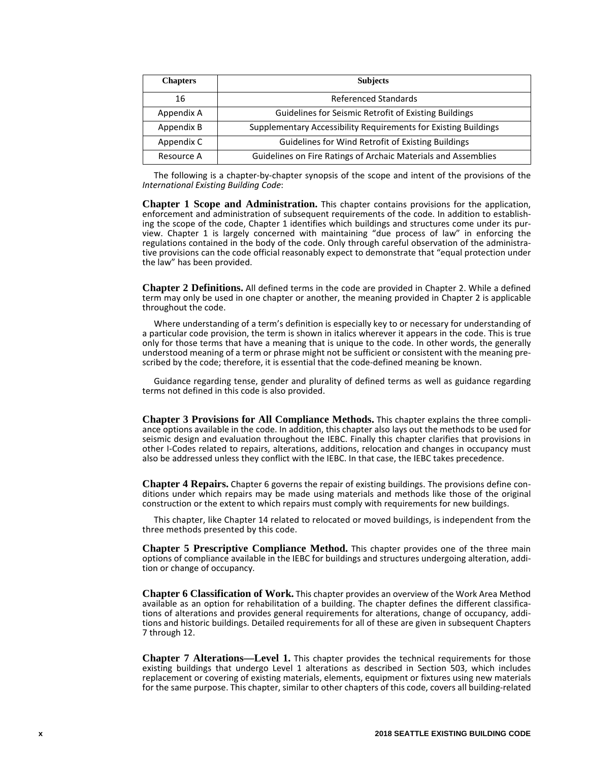| <b>Chapters</b> | <b>Subjects</b>                                                 |
|-----------------|-----------------------------------------------------------------|
| 16              | <b>Referenced Standards</b>                                     |
| Appendix A      | Guidelines for Seismic Retrofit of Existing Buildings           |
| Appendix B      | Supplementary Accessibility Requirements for Existing Buildings |
| Appendix C      | Guidelines for Wind Retrofit of Existing Buildings              |
| Resource A      | Guidelines on Fire Ratings of Archaic Materials and Assemblies  |

The following is a chapter-by-chapter synopsis of the scope and intent of the provisions of the The following is a chapter-by-chapter synopsis of the scope and intent of the provisions of the International Existing Building Code: *International Existing Building Code*:

Chapter 1 Scope and Administration. This chapter contains provisions for the application, **Chapter 1 Scope and Administration.** This chapter contains provisions for the application, enforcement and administration of subsequent requirements of the code. In addition to establish-enforcement and administration of subsequent requirements of the code. In addition to establishing the scope of the code, Chapter 1 identifies which buildings and structures come under its pur-ing the scope of the code, Chapter 1 identifies which buildings and structures come under its purview. Chapter 1 is largely concerned with maintaining "due process of law" in enforcing the regulations contained in the body of the code. Only through careful observation of the administrative provisions can the code official reasonably expect to demonstrate that "equal protection under tive provisions can the code official reasonably expect to demonstrate that "equal protection under the law" has been provided. the law" has been provided. view. Chapter 1 is largely concerned with maintaining "due process of law" in enforcing the regulations contained in the body of the code. Only through careful observation of the administra-

Chapter 2 Definitions. All defined terms in the code are provided in Chapter 2. While a defined **Chapter 2 Definitions.** All defined terms in the code are provided in Chapter 2. While a defined term may only be used in one chapter or another, the meaning provided in Chapter 2 is applicable term may only be used in one chapter or another, the meaning provided in Chapter 2 is applicable throughout the code. throughout the code.

Where understanding of a term's definition is especially key to or necessary for understanding of Where understanding of a term's definition is especially key to or necessary for understanding of a particular code provision, the term is shown in italics wherever it appears in the code. This is true a particular code provision, the term is shown in italics wherever it appears in the code. This is true only for those terms that have a meaning that is unique to the code. In other words, the generally only for those terms that have a meaning that is unique to the code. In other words, the generally understood meaning of a term or phrase might not be sufficient or consistent with the meaning pre-understood meaning of a term or phrase might not be sufficient or consistent with the meaning prescribed by the code; therefore, it is essential that the code-defined meaning be known. scribed by the code; therefore, it is essential that the code-defined meaning be known.

Guidance regarding tense, gender and plurality of defined terms as well as guidance regarding Guidance regarding tense, gender and plurality of defined terms as well as guidance regarding terms not defined in this code is also provided. terms not defined in this code is also provided.

Chapter 3 Provisions for All Compliance Methods. This chapter explains the three compli-**Chapter 3 Provisions for All Compliance Methods.** This chapter explains the three compliance options available in the code. In addition, this chapter also lays out the methods to be used for ance options available in the code. In addition, this chapter also lays out the methods to be used for seismic design and evaluation throughout the IEBC. Finally this chapter clarifies that provisions in seismic design and evaluation throughout the IEBC. Finally this chapter clarifies that provisions in other I-Codes related to repairs, alterations, additions, relocation and changes in occupancy must other I-Codes related to repairs, alterations, additions, relocation and changes in occupancy must also be addressed unless they conflict with the IEBC. In that case, the IEBC takes precedence. also be addressed unless they conflict with the IEBC. In that case, the IEBC takes precedence.

Chapter 4 Repairs. Chapter 6 governs the repair of existing buildings. The provisions define con-**Chapter 4 Repairs.** Chapter 6 governs the repair of existing buildings. The provisions define conditions under which repairs may be made using materials and methods like those of the original ditions under which repairs may be made using materials and methods like those of the original construction or the extent to which repairs must comply with requirements for new buildings.

construction or the extent to which repairs must comply with requirements for new buildings.<br>This chapter, like Chapter 14 related to relocated or moved buildings, is independent from the three methods presented by this code. three methods presented by this code.

Chapter 5 Prescriptive Compliance Method. This chapter provides one of the three main **Chapter 5 Prescriptive Compliance Method.** This chapter provides one of the three main options of compliance available in the IEBC for buildings and structures undergoing alteration, addi-options of compliance available in the IEBC for buildings and structures undergoing alteration, addition or change of occupancy. tion or change of occupancy.

Chapter 6 Classification of Work. This chapter provides an overview of the Work Area Method **Chapter 6 Classification of Work.** This chapter provides an overview of the Work Area Method available as an option for rehabilitation of a building. The chapter defines the different classifica-available as an option for rehabilitation of a building. The chapter defines the different classifications of alterations and provides general requirements for alterations, change of occupancy, addi-tions of alterations and provides general requirements for alterations, change of occupancy, additions and historic buildings. Detailed requirements for all of these are given in subsequent Chapters tions and historic buildings. Detailed requirements for all of these are given in subsequent Chapters 7 through 12. 7 through 12.

Chapter 7 Alterations—Level 1. This chapter provides the technical requirements for those **Chapter 7 Alterations—Level 1.** This chapter provides the technical requirements for those existing buildings that undergo Level 1 alterations as described in Section 503, which includes existing buildings that undergo Level 1 alterations as described in Section 503, which includes replacement or covering of existing materials, elements, equipment or fixtures using new materials replacement or covering of existing materials, elements, equipment or fixtures using new materials for the same purpose. This chapter, similar to other chapters of this code, covers all building-related for the same purpose. This chapter, similar to other chapters of this code, covers all building-related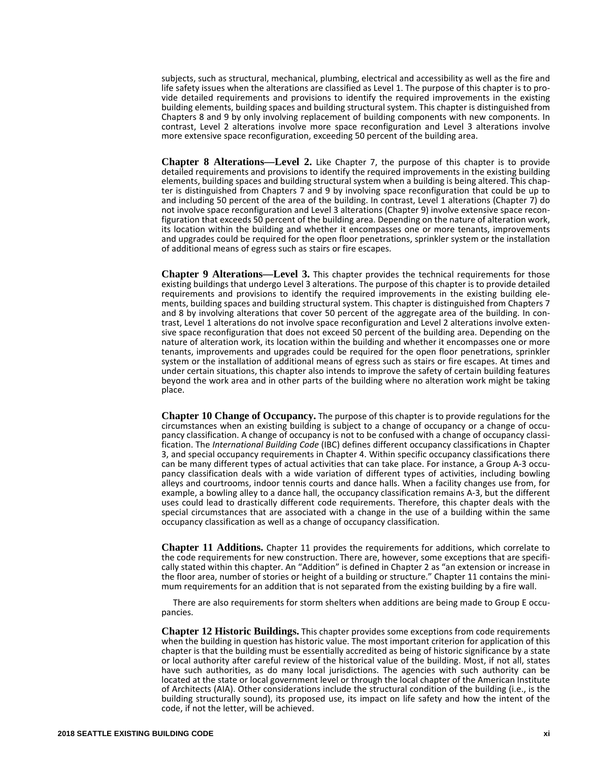subjects, such as structural, mechanical, plumbing, electrical and accessibility as well as the fire and life safety issues when the alterations are classified as Level 1. The purpose of this chapter is to pro-life safety issues when the alterations are classified as Level 1. The purpose of this chapter is to provide detailed requirements and provisions to identify the required improvements in the existing vide detailed requirements and provisions to identify the required improvements in the existing building elements, building spaces and building structural system. This chapter is distinguished from building elements, building spaces and building structural system. This chapter is distinguished from Chapters 8 and 9 by only involving replacement of building components with new components. In Chapters 8 and 9 by only involving replacement of building components with new components. In contrast, Level 2 alterations involve more space reconfiguration and Level 3 alterations involve contrast, Level 2 alterations involve more space reconfiguration and Level 3 alterations involve more extensive space reconfiguration, exceeding 50 percent of the building area. more extensive space reconfiguration, exceeding 50 percent of the building area.

Chapter 8 Alterations—Level 2. Like Chapter 7, the purpose of this chapter is to provide **Chapter 8 Alterations—Level 2.** Like Chapter 7, the purpose of this chapter is to provide detailed requirements and provisions to identify the required improvements in the existing building detailed requirements and provisions to identify the required improvements in the existing building elements, building spaces and building structural system when a building is being altered. This chap-elements, building spaces and building structural system when a building is being altered. This chapter is distinguished from Chapters 7 and 9 by involving space reconfiguration that could be up to and including 50 percent of the area of the building. In contrast, Level 1 alterations (Chapter 7) do and including 50 percent of the area of the building. In contrast, Level 1 alterations (Chapter 7) do not involve space reconfiguration and Level 3 alterations (Chapter 9) involve extensive space recon-not involve space reconfiguration and Level 3 alterations (Chapter 9) involve extensive space reconfiguration that exceeds 50 percent of the building area. Depending on the nature of alteration work, figuration that exceeds 50 percent of the building area. Depending on the nature of alteration work, its location within the building and whether it encompasses one or more tenants, improvements its location within the building and whether it encompasses one or more tenants, improvements and upgrades could be required for the open floor penetrations, sprinkler system or the installation and upgrades could be required for the open floor penetrations, sprinkler system or the installation of additional means of egress such as stairs or fire escapes. of additional means of egress such as stairs or fire escapes.

Chapter 9 Alterations—Level 3. This chapter provides the technical requirements for those **Chapter 9 Alterations—Level 3.** This chapter provides the technical requirements for those existing buildings that undergo Level 3 alterations. The purpose of this chapter is to provide detailed existing buildings that undergo Level 3 alterations. The purpose of this chapter is to provide detailed requirements and provisions to identify the required improvements in the existing building ele-requirements and provisions to identify the required improvements in the existing building elements, building spaces and building structural system. This chapter is distinguished from Chapters 7 ments, building spaces and building structural system. This chapter is distinguished from Chapters 7 and 8 by involving alterations that cover 50 percent of the aggregate area of the building. In con-and 8 by involving alterations that cover 50 percent of the aggregate area of the building. In contrast, Level 1 alterations do not involve space reconfiguration and Level 2 alterations involve exten-trast, Level 1 alterations do not involve space reconfiguration and Level 2 alterations involve extensive space reconfiguration that does not exceed 50 percent of the building area. Depending on the sive space reconfiguration that does not exceed 50 percent of the building area. Depending on the nature of alteration work, its location within the building and whether it encompasses one or more nature of alteration work, its location within the building and whether it encompasses one or more tenants, improvements and upgrades could be required for the open floor penetrations, sprinkler tenants, improvements and upgrades could be required for the open floor penetrations, sprinkler system or the installation of additional means of egress such as stairs or fire escapes. At times and system or the installation of additional means of egress such as stairs or fire escapes. At times and under certain situations, this chapter also intends to improve the safety of certain building features under certain situations, this chapter also intends to improve the safety of certain building features beyond the work area and in other parts of the building where no alteration work might be taking beyond the work area and in other parts of the building where no alteration work might be taking place. place.

Chapter 10 Change of Occupancy. The purpose of this chapter is to provide regulations for the **Chapter 10 Change of Occupancy.** The purpose of this chapter is to provide regulations for the circumstances when an existing building is subject to a change of occupancy or a change of occu-circumstances when an existing building is subject to a change of occupancy or a change of occupancy classification. A change of occupancy is not to be confused with a change of occupancy classi-pancy classification. A change of occupancy is not to be confused with a change of occupancy classification. The International Building Code (IBC) defines different occupancy classifications in Chapter fication. The *International Building Code* (IBC) defines different occupancy classifications in Chapter 3, and special occupancy requirements in Chapter 4. Within specific occupancy classifications there 3, and special occupancy requirements in Chapter 4. Within specific occupancy classifications there can be many different types of actual activities that can take place. For instance, a Group A-3 occu-can be many different types of actual activities that can take place. For instance, a Group A-3 occupancy classification deals with a wide variation of different types of activities, including bowling pancy classification deals with a wide variation of different types of activities, including bowling alleys and courtrooms, indoor tennis courts and dance halls. When a facility changes use from, for alleys and courtrooms, indoor tennis courts and dance halls. When a facility changes use from, for example, a bowling alley to a dance hall, the occupancy classification remains A-3, but the different example, a bowling alley to a dance hall, the occupancy classification remains A-3, but the different uses could lead to drastically different code requirements. Therefore, this chapter deals with the uses could lead to drastically different code requirements. Therefore, this chapter deals with the special circumstances that are associated with a change in the use of a building within the same special circumstances that are associated with a change in the use of a building within the same occupancy classification as well as a change of occupancy classification. occupancy classification as well as a change of occupancy classification.

Chapter 11 Additions. Chapter 11 provides the requirements for additions, which correlate to **Chapter 11 Additions.** Chapter 11 provides the requirements for additions, which correlate to the code requirements for new construction. There are, however, some exceptions that are specifi-the code requirements for new construction. There are, however, some exceptions that are specifically stated within this chapter. An "Addition" is defined in Chapter 2 as "an extension or increase in cally stated within this chapter. An "Addition" is defined in Chapter 2 as "an extension or increase in the floor area, number of stories or height of a building or structure." Chapter 11 contains the mini-the floor area, number of stories or height of a building or structure." Chapter 11 contains the minimum requirements for an addition that is not separated from the existing building by a fire wall. mum requirements for an addition that is not separated from the existing building by a fire wall.

There are also requirements for storm shelters when additions are being made to Group E occu-There are also requirements for storm shelters when additions are being made to Group E occupancies. pancies.

Chapter 12 Historic Buildings. This chapter provides some exceptions from code requirements **Chapter 12 Historic Buildings.** This chapter provides some exceptions from code requirements when the building in question has historic value. The most important criterion for application of this when the building in question has historic value. The most important criterion for application of this chapter is that the building must be essentially accredited as being of historic significance by a state chapter is that the building must be essentially accredited as being of historic significance by a state or local authority after careful review of the historical value of the building. Most, if not all, states or local authority after careful review of the historical value of the building. Most, if not all, states have such authorities, as do many local jurisdictions. The agencies with such authority can be have such authorities, as do many local jurisdictions. The agencies with such authority can be located at the state or local government level or through the local chapter of the American Institute located at the state or local government level or through the local chapter of the American Institute of Architects (AIA). Other considerations include the structural condition of the building (i.e., is the building structurally sound), its proposed use, its impact on life safety and how the intent of the building structurally sound), its proposed use, its impact on life safety and how the intent of the code, if not the letter, will be achieved. code, if not the letter, will be achieved.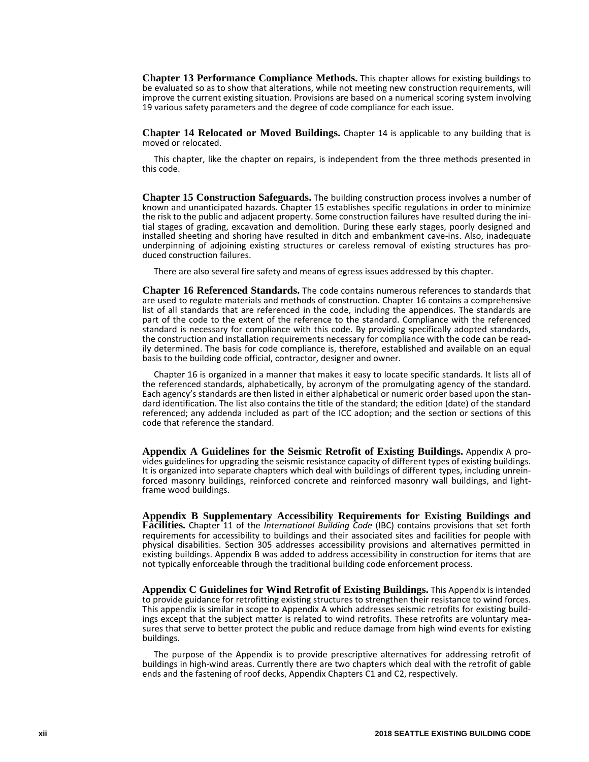Chapter 13 Performance Compliance Methods. This chapter allows for existing buildings to **Chapter 13 Performance Compliance Methods.** This chapter allows for existing buildings to be evaluated so as to show that alterations, while not meeting new construction requirements, will improve the current existing situation. Provisions are based on a numerical scoring system involving improve the current existing situation. Provisions are based on a numerical scoring system involving 19 various safety parameters and the degree of code compliance for each issue. 19 various safety parameters and the degree of code compliance for each issue.

Chapter 14 Relocated or Moved Buildings. Chapter 14 is applicable to any building that is **Chapter 14 Relocated or Moved Buildings.** Chapter 14 is applicable to any building that is moved or relocated. moved or relocated.<br>This chapter, like the chapter on repairs, is independent from the three methods presented in

this code. this code.

Chapter 15 Construction Safeguards. The building construction process involves a number of **Chapter 15 Construction Safeguards.** The building construction process involves a number of known and unanticipated hazards. Chapter 15 establishes specific regulations in order to minimize known and unanticipated hazards. Chapter 15 establishes specific regulations in order to minimize the risk to the public and adjacent property. Some construction failures have resulted during the ini-the risk to the public and adjacent property. Some construction failures have resulted during the initial stages of grading, excavation and demolition. During these early stages, poorly designed and tial stages of grading, excavation and demolition. During these early stages, poorly designed and installed sheeting and shoring have resulted in ditch and embankment cave-ins. Also, inadequate installed sheeting and shoring have resulted in ditch and embankment cave-ins. Also, inadequate underpinning of adjoining existing structures or careless removal of existing structures has pro-underpinning of adjoining existing structures or careless removal of existing structures has produced construction failures. duced construction failures.

There are also several fire safety and means of egress issues addressed by this chapter. There are also several fire safety and means of egress issues addressed by this chapter.

Chapter 16 Referenced Standards. The code contains numerous references to standards that **Chapter 16 Referenced Standards.** The code contains numerous references to standards that are used to regulate materials and methods of construction. Chapter 16 contains a comprehensive are used to regulate materials and methods of construction. Chapter 16 contains a comprehensive list of all standards that are referenced in the code, including the appendices. The standards are list of all standards that are referenced in the code, including the appendices. The standards are part of the code to the extent of the reference to the standard. Compliance with the referenced part of the code to the extent of the reference to the standard. Compliance with the referenced standard is necessary for compliance with this code. By providing specifically adopted standards, standard is necessary for compliance with this code. By providing specifically adopted standards, the construction and installation requirements necessary for compliance with the code can be read-the construction and installation requirements necessary for compliance with the code can be readily determined. The basis for code compliance is, therefore, established and available on an equal ily determined. The basis for code compliance is, therefore, established and available on an equal basis to the building code official, contractor, designer and owner. basis to the building code official, contractor, designer and owner.

Chapter 16 is organized in a manner that makes it easy to locate specific standards. It lists all of Chapter 16 is organized in a manner that makes it easy to locate specific standards. It lists all of the referenced standards, alphabetically, by acronym of the promulgating agency of the standard. the referenced standards, alphabetically, by acronym of the promulgating agency of the standard. Each agency's standards are then listed in either alphabetical or numeric order based upon the stan-Each agency's standards are then listed in either alphabetical or numeric order based upon the standard identification. The list also contains the title of the standard; the edition (date) of the standard dard identification. The list also contains the title of the standard; the edition (date) of the standard referenced; any addenda included as part of the ICC adoption; and the section or sections of this referenced; any addenda included as part of the ICC adoption; and the section or sections of this code that reference the standard. code that reference the standard.

Appendix A Guidelines for the Seismic Retrofit of Existing Buildings. Appendix A pro-**Appendix A Guidelines for the Seismic Retrofit of Existing Buildings.** Appendix A provides guidelines for upgrading the seismic resistance capacity of different types of existing buildings. vides guidelines for upgrading the seismic resistance capacity of different types of existing buildings. It is organized into separate chapters which deal with buildings of different types, including unrein-It is organized into separate chapters which deal with buildings of different types, including unreinforced masonry buildings, reinforced concrete and reinforced masonry wall buildings, and light-forced masonry buildings, reinforced concrete and reinforced masonry wall buildings, and lightframe wood buildings. frame wood buildings.

Appendix B Supplementary Accessibility Requirements for Existing Buildings and **Appendix B Supplementary Accessibility Requirements for Existing Buildings and** Facilities. Chapter 11 of the International Building Code (IBC) contains provisions that set forth **Facilities.** Chapter 11 of the *International Building Code* (IBC) contains provisions that set forth requirements for accessibility to buildings and their associated sites and facilities for people with requirements for accessibility to buildings and their associated sites and facilities for people with physical disabilities. Section 305 addresses accessibility provisions and alternatives permitted in physical disabilities. Section 305 addresses accessibility provisions and alternatives permitted in existing buildings. Appendix B was added to address accessibility in construction for items that are existing buildings. Appendix B was added to address accessibility in construction for items that are not typically enforceable through the traditional building code enforcement process. not typically enforceable through the traditional building code enforcement process.

Appendix C Guidelines for Wind Retrofit of Existing Buildings. This Appendix is intended **Appendix C Guidelines for Wind Retrofit of Existing Buildings.** This Appendix is intended to provide guidance for retrofitting existing structures to strengthen their resistance to wind forces. to provide guidance for retrofitting existing structures to strengthen their resistance to wind forces. This appendix is similar in scope to Appendix A which addresses seismic retrofits for existing build-This appendix is similar in scope to Appendix A which addresses seismic retrofits for existing buildings except that the subject matter is related to wind retrofits. These retrofits are voluntary mea-ings except that the subject matter is related to wind retrofits. These retrofits are voluntary measures that serve to better protect the public and reduce damage from high wind events for existing sures that serve to better protect the public and reduce damage from high wind events for existing buildings. buildings.

The purpose of the Appendix is to provide prescriptive alternatives for addressing retrofit of The purpose of the Appendix is to provide prescriptive alternatives for addressing retrofit of buildings in high-wind areas. Currently there are two chapters which deal with the retrofit of gable buildings in high-wind areas. Currently there are two chapters which deal with the retrofit of gable ends and the fastening of roof decks, Appendix Chapters C1 and C2, respectively. ends and the fastening of roof decks, Appendix Chapters C1 and C2, respectively.